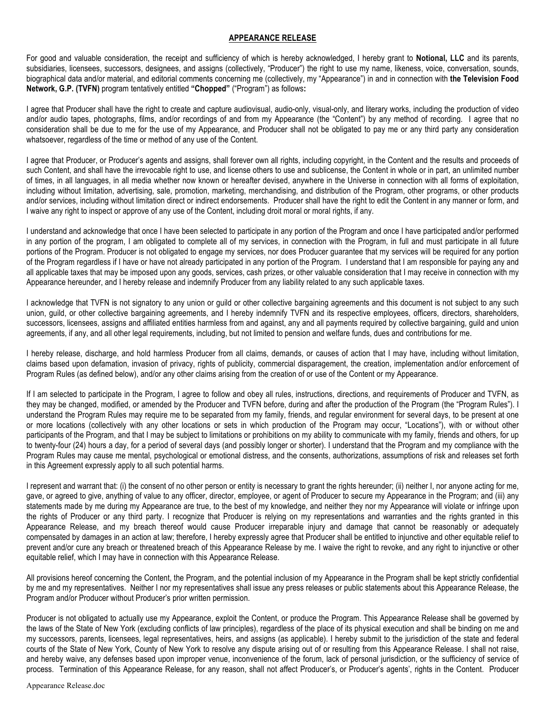## **APPEARANCE RELEASE**

For good and valuable consideration, the receipt and sufficiency of which is hereby acknowledged, I hereby grant to **Notional, LLC** and its parents, subsidiaries, licensees, successors, designees, and assigns (collectively, "Producer") the right to use my name, likeness, voice, conversation, sounds, biographical data and/or material, and editorial comments concerning me (collectively, my "Appearance") in and in connection with **the Television Food Network, G.P. (TVFN)** program tentatively entitled **"Chopped"** ("Program") as follows**:**

I agree that Producer shall have the right to create and capture audiovisual, audio-only, visual-only, and literary works, including the production of video and/or audio tapes, photographs, films, and/or recordings of and from my Appearance (the "Content") by any method of recording. I agree that no consideration shall be due to me for the use of my Appearance, and Producer shall not be obligated to pay me or any third party any consideration whatsoever, regardless of the time or method of any use of the Content.

I agree that Producer, or Producer's agents and assigns, shall forever own all rights, including copyright, in the Content and the results and proceeds of such Content, and shall have the irrevocable right to use, and license others to use and sublicense, the Content in whole or in part, an unlimited number of times, in all languages, in all media whether now known or hereafter devised, anywhere in the Universe in connection with all forms of exploitation, including without limitation, advertising, sale, promotion, marketing, merchandising, and distribution of the Program, other programs, or other products and/or services, including without limitation direct or indirect endorsements. Producer shall have the right to edit the Content in any manner or form, and I waive any right to inspect or approve of any use of the Content, including droit moral or moral rights, if any.

I understand and acknowledge that once I have been selected to participate in any portion of the Program and once I have participated and/or performed in any portion of the program, I am obligated to complete all of my services, in connection with the Program, in full and must participate in all future portions of the Program. Producer is not obligated to engage my services, nor does Producer guarantee that my services will be required for any portion of the Program regardless if I have or have not already participated in any portion of the Program. I understand that I am responsible for paying any and all applicable taxes that may be imposed upon any goods, services, cash prizes, or other valuable consideration that I may receive in connection with my Appearance hereunder, and I hereby release and indemnify Producer from any liability related to any such applicable taxes.

I acknowledge that TVFN is not signatory to any union or guild or other collective bargaining agreements and this document is not subject to any such union, guild, or other collective bargaining agreements, and I hereby indemnify TVFN and its respective employees, officers, directors, shareholders, successors, licensees, assigns and affiliated entities harmless from and against, any and all payments required by collective bargaining, guild and union agreements, if any, and all other legal requirements, including, but not limited to pension and welfare funds, dues and contributions for me.

I hereby release, discharge, and hold harmless Producer from all claims, demands, or causes of action that I may have, including without limitation, claims based upon defamation, invasion of privacy, rights of publicity, commercial disparagement, the creation, implementation and/or enforcement of Program Rules (as defined below), and/or any other claims arising from the creation of or use of the Content or my Appearance.

If I am selected to participate in the Program, I agree to follow and obey all rules, instructions, directions, and requirements of Producer and TVFN, as they may be changed, modified, or amended by the Producer and TVFN before, during and after the production of the Program (the "Program Rules"). I understand the Program Rules may require me to be separated from my family, friends, and regular environment for several days, to be present at one or more locations (collectively with any other locations or sets in which production of the Program may occur, "Locations"), with or without other participants of the Program, and that I may be subject to limitations or prohibitions on my ability to communicate with my family, friends and others, for up to twenty-four (24) hours a day, for a period of several days (and possibly longer or shorter). I understand that the Program and my compliance with the Program Rules may cause me mental, psychological or emotional distress, and the consents, authorizations, assumptions of risk and releases set forth in this Agreement expressly apply to all such potential harms.

I represent and warrant that: (i) the consent of no other person or entity is necessary to grant the rights hereunder; (ii) neither I, nor anyone acting for me, gave, or agreed to give, anything of value to any officer, director, employee, or agent of Producer to secure my Appearance in the Program; and (iii) any statements made by me during my Appearance are true, to the best of my knowledge, and neither they nor my Appearance will violate or infringe upon the rights of Producer or any third party. I recognize that Producer is relying on my representations and warranties and the rights granted in this Appearance Release, and my breach thereof would cause Producer irreparable injury and damage that cannot be reasonably or adequately compensated by damages in an action at law; therefore, I hereby expressly agree that Producer shall be entitled to injunctive and other equitable relief to prevent and/or cure any breach or threatened breach of this Appearance Release by me. I waive the right to revoke, and any right to injunctive or other equitable relief, which I may have in connection with this Appearance Release.

All provisions hereof concerning the Content, the Program, and the potential inclusion of my Appearance in the Program shall be kept strictly confidential by me and my representatives. Neither I nor my representatives shall issue any press releases or public statements about this Appearance Release, the Program and/or Producer without Producer's prior written permission.

Producer is not obligated to actually use my Appearance, exploit the Content, or produce the Program. This Appearance Release shall be governed by the laws of the State of New York (excluding conflicts of law principles), regardless of the place of its physical execution and shall be binding on me and my successors, parents, licensees, legal representatives, heirs, and assigns (as applicable). I hereby submit to the jurisdiction of the state and federal courts of the State of New York, County of New York to resolve any dispute arising out of or resulting from this Appearance Release. I shall not raise, and hereby waive, any defenses based upon improper venue, inconvenience of the forum, lack of personal jurisdiction, or the sufficiency of service of process. Termination of this Appearance Release, for any reason, shall not affect Producer's, or Producer's agents', rights in the Content. Producer